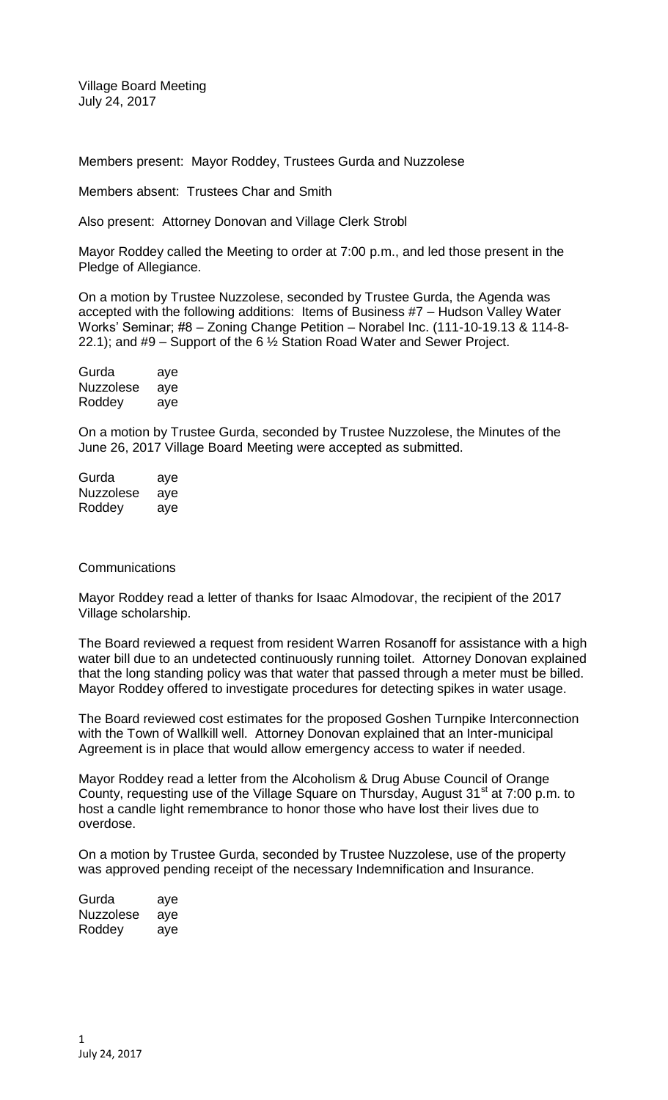Village Board Meeting July 24, 2017

Members present: Mayor Roddey, Trustees Gurda and Nuzzolese

Members absent: Trustees Char and Smith

Also present: Attorney Donovan and Village Clerk Strobl

Mayor Roddey called the Meeting to order at 7:00 p.m., and led those present in the Pledge of Allegiance.

On a motion by Trustee Nuzzolese, seconded by Trustee Gurda, the Agenda was accepted with the following additions: Items of Business #7 – Hudson Valley Water Works' Seminar; #8 – Zoning Change Petition – Norabel Inc. (111-10-19.13 & 114-8- 22.1); and #9 – Support of the 6 ½ Station Road Water and Sewer Project.

| Gurda            | aye |
|------------------|-----|
| <b>Nuzzolese</b> | aye |
| Roddey           | aye |

On a motion by Trustee Gurda, seconded by Trustee Nuzzolese, the Minutes of the June 26, 2017 Village Board Meeting were accepted as submitted.

Gurda aye Nuzzolese aye Roddey aye

#### **Communications**

Mayor Roddey read a letter of thanks for Isaac Almodovar, the recipient of the 2017 Village scholarship.

The Board reviewed a request from resident Warren Rosanoff for assistance with a high water bill due to an undetected continuously running toilet. Attorney Donovan explained that the long standing policy was that water that passed through a meter must be billed. Mayor Roddey offered to investigate procedures for detecting spikes in water usage.

The Board reviewed cost estimates for the proposed Goshen Turnpike Interconnection with the Town of Wallkill well. Attorney Donovan explained that an Inter-municipal Agreement is in place that would allow emergency access to water if needed.

Mayor Roddey read a letter from the Alcoholism & Drug Abuse Council of Orange County, requesting use of the Village Square on Thursday, August  $31<sup>st</sup>$  at 7:00 p.m. to host a candle light remembrance to honor those who have lost their lives due to overdose.

On a motion by Trustee Gurda, seconded by Trustee Nuzzolese, use of the property was approved pending receipt of the necessary Indemnification and Insurance.

| Gurda     | aye |
|-----------|-----|
| Nuzzolese | aye |
| Roddey    | aye |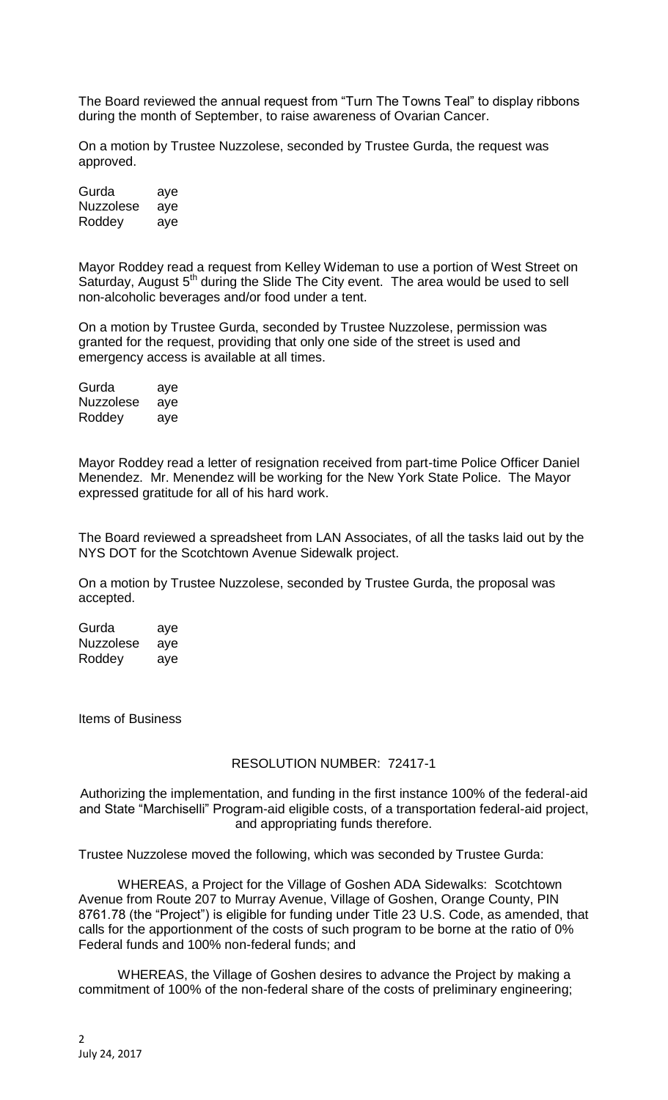The Board reviewed the annual request from "Turn The Towns Teal" to display ribbons during the month of September, to raise awareness of Ovarian Cancer.

On a motion by Trustee Nuzzolese, seconded by Trustee Gurda, the request was approved.

Gurda aye Nuzzolese aye Roddey aye

Mayor Roddey read a request from Kelley Wideman to use a portion of West Street on Saturday, August 5<sup>th</sup> during the Slide The City event. The area would be used to sell non-alcoholic beverages and/or food under a tent.

On a motion by Trustee Gurda, seconded by Trustee Nuzzolese, permission was granted for the request, providing that only one side of the street is used and emergency access is available at all times.

| Gurda            | aye |
|------------------|-----|
| <b>Nuzzolese</b> | aye |
| Roddey           | aye |

Mayor Roddey read a letter of resignation received from part-time Police Officer Daniel Menendez. Mr. Menendez will be working for the New York State Police. The Mayor expressed gratitude for all of his hard work.

The Board reviewed a spreadsheet from LAN Associates, of all the tasks laid out by the NYS DOT for the Scotchtown Avenue Sidewalk project.

On a motion by Trustee Nuzzolese, seconded by Trustee Gurda, the proposal was accepted.

Gurda aye Nuzzolese aye Roddey aye

Items of Business

## RESOLUTION NUMBER: 72417-1

Authorizing the implementation, and funding in the first instance 100% of the federal-aid and State "Marchiselli" Program-aid eligible costs, of a transportation federal-aid project, and appropriating funds therefore.

Trustee Nuzzolese moved the following, which was seconded by Trustee Gurda:

WHEREAS, a Project for the Village of Goshen ADA Sidewalks: Scotchtown Avenue from Route 207 to Murray Avenue, Village of Goshen, Orange County, PIN 8761.78 (the "Project") is eligible for funding under Title 23 U.S. Code, as amended, that calls for the apportionment of the costs of such program to be borne at the ratio of 0% Federal funds and 100% non-federal funds; and

WHEREAS, the Village of Goshen desires to advance the Project by making a commitment of 100% of the non-federal share of the costs of preliminary engineering;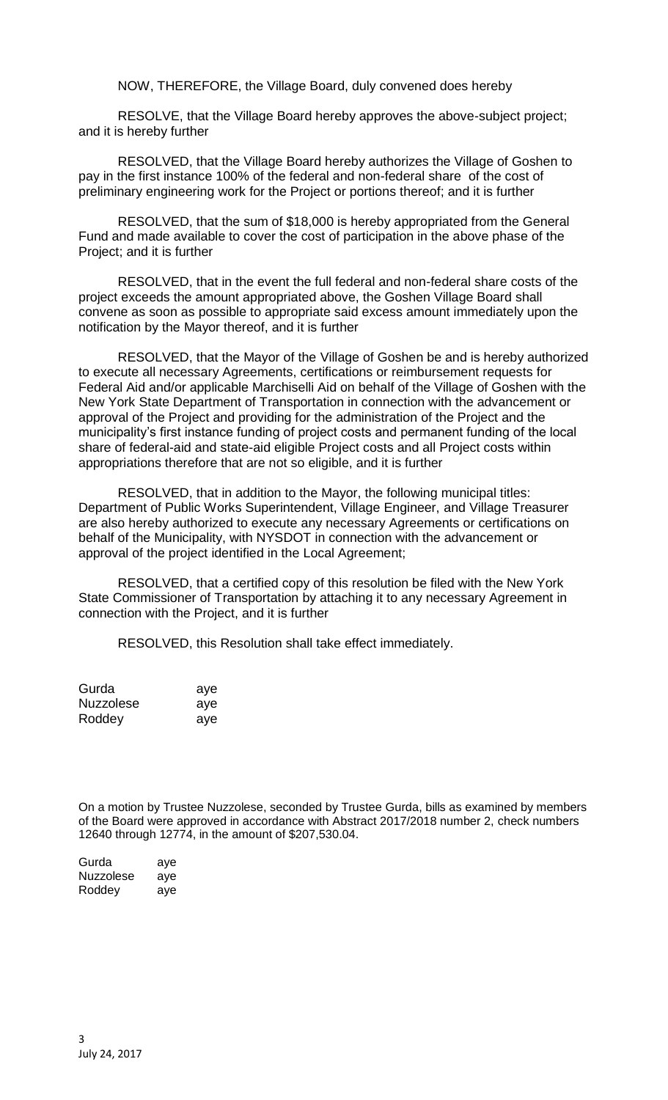NOW, THEREFORE, the Village Board, duly convened does hereby

RESOLVE, that the Village Board hereby approves the above-subject project; and it is hereby further

RESOLVED, that the Village Board hereby authorizes the Village of Goshen to pay in the first instance 100% of the federal and non-federal share of the cost of preliminary engineering work for the Project or portions thereof; and it is further

RESOLVED, that the sum of \$18,000 is hereby appropriated from the General Fund and made available to cover the cost of participation in the above phase of the Project; and it is further

RESOLVED, that in the event the full federal and non-federal share costs of the project exceeds the amount appropriated above, the Goshen Village Board shall convene as soon as possible to appropriate said excess amount immediately upon the notification by the Mayor thereof, and it is further

RESOLVED, that the Mayor of the Village of Goshen be and is hereby authorized to execute all necessary Agreements, certifications or reimbursement requests for Federal Aid and/or applicable Marchiselli Aid on behalf of the Village of Goshen with the New York State Department of Transportation in connection with the advancement or approval of the Project and providing for the administration of the Project and the municipality's first instance funding of project costs and permanent funding of the local share of federal-aid and state-aid eligible Project costs and all Project costs within appropriations therefore that are not so eligible, and it is further

RESOLVED, that in addition to the Mayor, the following municipal titles: Department of Public Works Superintendent, Village Engineer, and Village Treasurer are also hereby authorized to execute any necessary Agreements or certifications on behalf of the Municipality, with NYSDOT in connection with the advancement or approval of the project identified in the Local Agreement;

RESOLVED, that a certified copy of this resolution be filed with the New York State Commissioner of Transportation by attaching it to any necessary Agreement in connection with the Project, and it is further

RESOLVED, this Resolution shall take effect immediately.

| Gurda     | aye |
|-----------|-----|
| Nuzzolese | aye |
| Roddey    | aye |

On a motion by Trustee Nuzzolese, seconded by Trustee Gurda, bills as examined by members of the Board were approved in accordance with Abstract 2017/2018 number 2, check numbers 12640 through 12774, in the amount of \$207,530.04.

| Gurda     | aye |
|-----------|-----|
| Nuzzolese | aye |
| Roddey    | aye |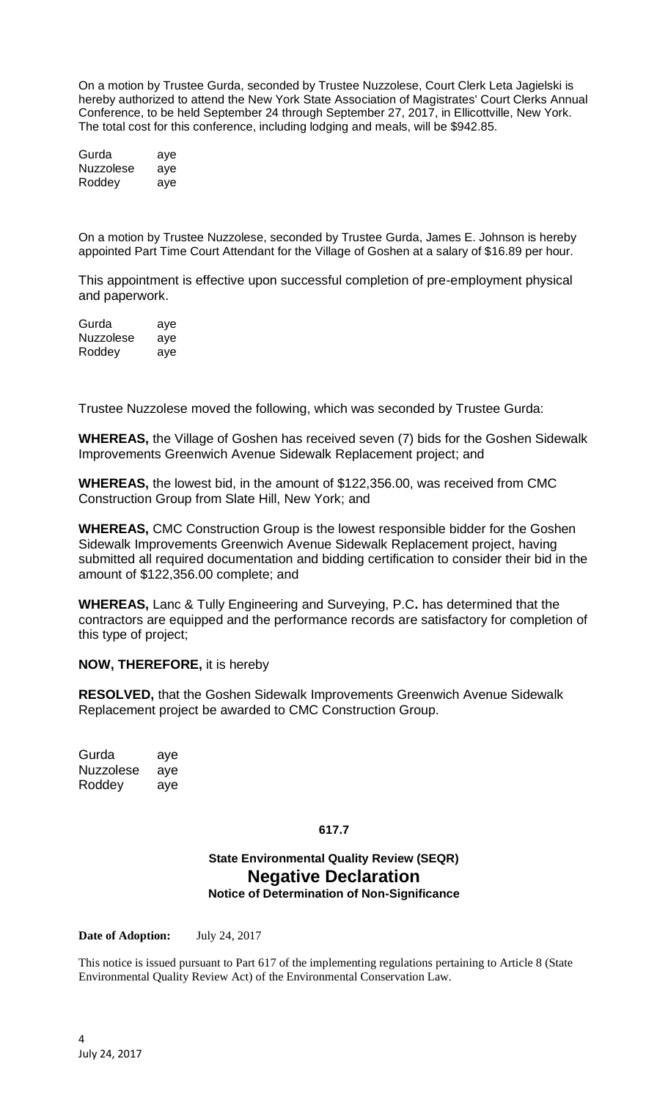On a motion by Trustee Gurda, seconded by Trustee Nuzzolese, Court Clerk Leta Jagielski is hereby authorized to attend the New York State Association of Magistrates' Court Clerks Annual Conference, to be held September 24 through September 27, 2017, in Ellicottville, New York. The total cost for this conference, including lodging and meals, will be \$942.85.

Gurda aye Nuzzolese aye Roddey aye

On a motion by Trustee Nuzzolese, seconded by Trustee Gurda, James E. Johnson is hereby appointed Part Time Court Attendant for the Village of Goshen at a salary of \$16.89 per hour.

This appointment is effective upon successful completion of pre-employment physical and paperwork.

Gurda aye Nuzzolese aye Roddey aye

Trustee Nuzzolese moved the following, which was seconded by Trustee Gurda:

**WHEREAS,** the Village of Goshen has received seven (7) bids for the Goshen Sidewalk Improvements Greenwich Avenue Sidewalk Replacement project; and

**WHEREAS,** the lowest bid, in the amount of \$122,356.00, was received from CMC Construction Group from Slate Hill, New York; and

**WHEREAS,** CMC Construction Group is the lowest responsible bidder for the Goshen Sidewalk Improvements Greenwich Avenue Sidewalk Replacement project, having submitted all required documentation and bidding certification to consider their bid in the amount of \$122,356.00 complete; and

**WHEREAS,** Lanc & Tully Engineering and Surveying, P.C**.** has determined that the contractors are equipped and the performance records are satisfactory for completion of this type of project;

### **NOW, THEREFORE,** it is hereby

**RESOLVED,** that the Goshen Sidewalk Improvements Greenwich Avenue Sidewalk Replacement project be awarded to CMC Construction Group.

Gurda aye Nuzzolese aye Roddey aye

### **617.7**

# **State Environmental Quality Review (SEQR) Negative Declaration Notice of Determination of Non-Significance**

**Date of Adoption:** July 24, 2017

This notice is issued pursuant to Part 617 of the implementing regulations pertaining to Article 8 (State Environmental Quality Review Act) of the Environmental Conservation Law.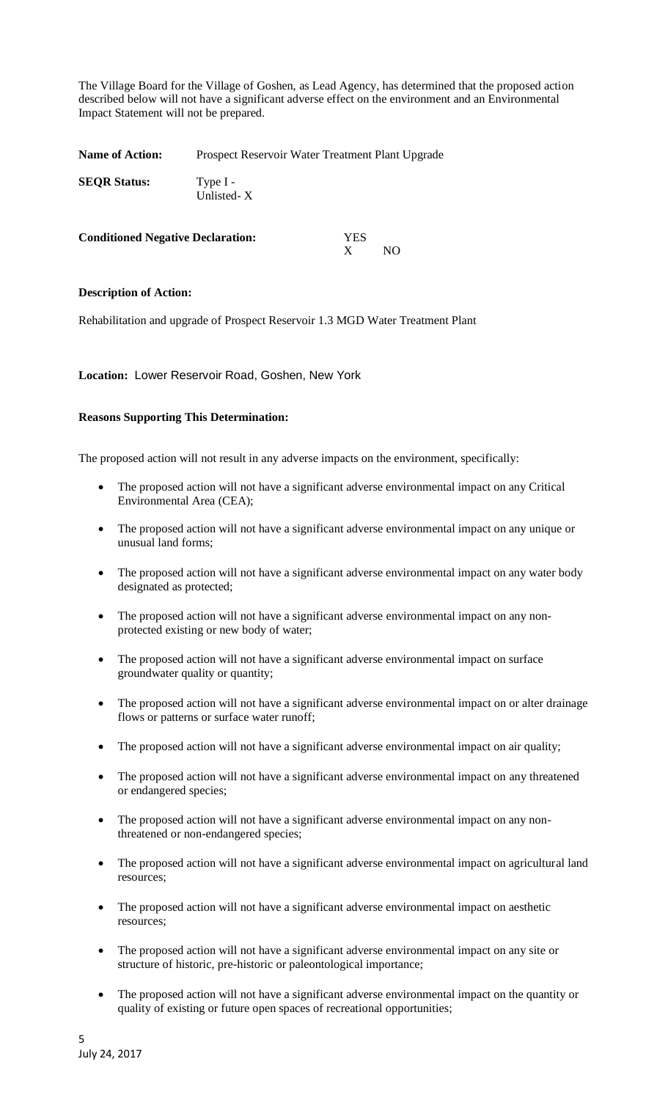The Village Board for the Village of Goshen, as Lead Agency, has determined that the proposed action described below will not have a significant adverse effect on the environment and an Environmental Impact Statement will not be prepared.

Name of Action: Prospect Reservoir Water Treatment Plant Upgrade **SEQR Status:** Type I - Unlisted- X

| <b>Conditioned Negative Declaration:</b> | <b>YES</b> |     |
|------------------------------------------|------------|-----|
|                                          |            | NO. |

### **Description of Action:**

Rehabilitation and upgrade of Prospect Reservoir 1.3 MGD Water Treatment Plant

**Location:** Lower Reservoir Road, Goshen, New York

### **Reasons Supporting This Determination:**

The proposed action will not result in any adverse impacts on the environment, specifically:

- The proposed action will not have a significant adverse environmental impact on any Critical Environmental Area (CEA);
- The proposed action will not have a significant adverse environmental impact on any unique or unusual land forms;
- The proposed action will not have a significant adverse environmental impact on any water body designated as protected;
- The proposed action will not have a significant adverse environmental impact on any nonprotected existing or new body of water;
- The proposed action will not have a significant adverse environmental impact on surface groundwater quality or quantity;
- The proposed action will not have a significant adverse environmental impact on or alter drainage flows or patterns or surface water runoff;
- The proposed action will not have a significant adverse environmental impact on air quality;
- The proposed action will not have a significant adverse environmental impact on any threatened or endangered species;
- The proposed action will not have a significant adverse environmental impact on any nonthreatened or non-endangered species;
- The proposed action will not have a significant adverse environmental impact on agricultural land resources;
- The proposed action will not have a significant adverse environmental impact on aesthetic resources;
- The proposed action will not have a significant adverse environmental impact on any site or structure of historic, pre-historic or paleontological importance;
- The proposed action will not have a significant adverse environmental impact on the quantity or quality of existing or future open spaces of recreational opportunities;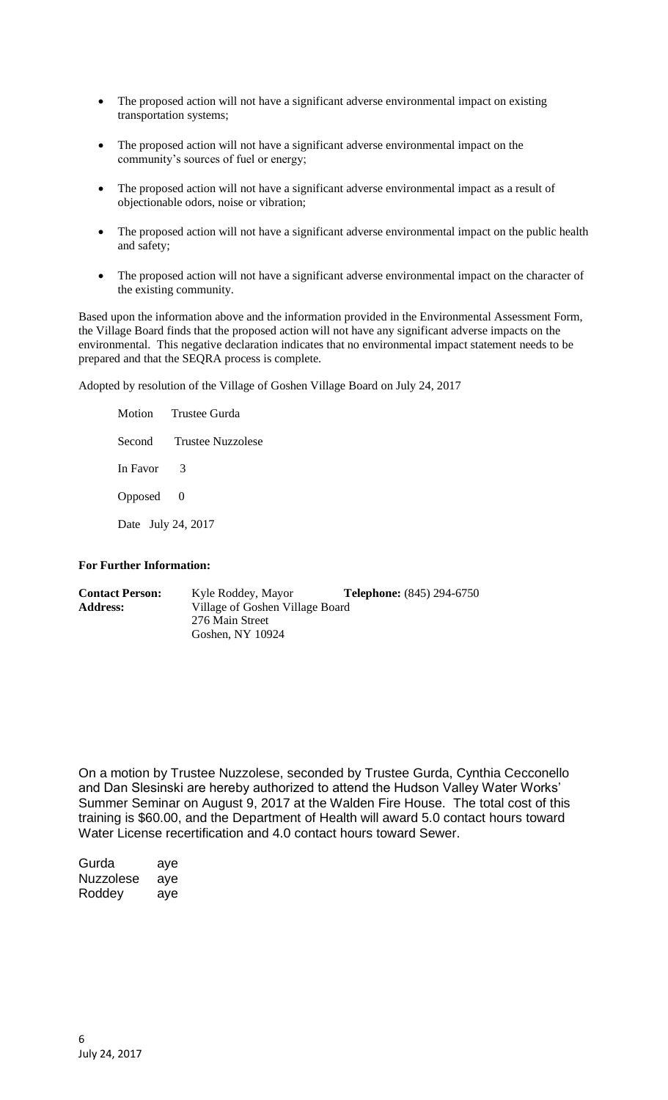- The proposed action will not have a significant adverse environmental impact on existing transportation systems;
- The proposed action will not have a significant adverse environmental impact on the community's sources of fuel or energy;
- The proposed action will not have a significant adverse environmental impact as a result of objectionable odors, noise or vibration;
- The proposed action will not have a significant adverse environmental impact on the public health and safety;
- The proposed action will not have a significant adverse environmental impact on the character of the existing community.

Based upon the information above and the information provided in the Environmental Assessment Form, the Village Board finds that the proposed action will not have any significant adverse impacts on the environmental. This negative declaration indicates that no environmental impact statement needs to be prepared and that the SEQRA process is complete.

Adopted by resolution of the Village of Goshen Village Board on July 24, 2017

Motion Trustee Gurda Second Trustee Nuzzolese In Favor 3 Opposed 0 Date July 24, 2017

### **For Further Information:**

| <b>Contact Person:</b> | Kyle Roddey, Mayor              | <b>Telephone:</b> (845) 294-6750 |
|------------------------|---------------------------------|----------------------------------|
| <b>Address:</b>        | Village of Goshen Village Board |                                  |
|                        | 276 Main Street                 |                                  |
|                        | Goshen, NY 10924                |                                  |

On a motion by Trustee Nuzzolese, seconded by Trustee Gurda, Cynthia Cecconello and Dan Slesinski are hereby authorized to attend the Hudson Valley Water Works' Summer Seminar on August 9, 2017 at the Walden Fire House. The total cost of this training is \$60.00, and the Department of Health will award 5.0 contact hours toward Water License recertification and 4.0 contact hours toward Sewer.

Gurda aye Nuzzolese aye Roddey aye